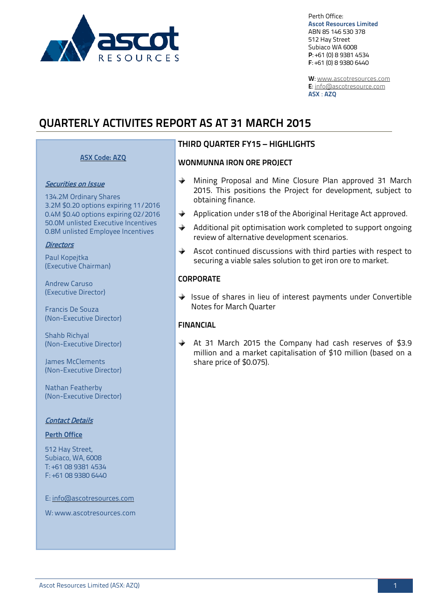

Perth Office: **Ascot Resources Limited** ABN 85 146 530 378 512 Hay Street Subiaco WA 6008 **P**: +61 (0) 8 9381 4534 **F**: +61 (0) 8 9380 6440

**W**: [www.ascotresources.com](http://www.ascotresources.com/) **E**[: info@ascotresource.com](mailto:info@ascotresource.com) **ASX** : **AZQ**

# **QUARTERLY ACTIVITES REPORT AS AT 31 MARCH 2015**

#### **ASX Code: AZQ**

#### Securities on Issue

134.2M Ordinary Shares 3.2M \$0.20 options expiring 11/2016 0.4M \$0.40 options expiring 02/2016 50.0M unlisted Executive Incentives 0.8M unlisted Employee Incentives

#### **Directors**

Paul Kopejtka (Executive Chairman)

Andrew Caruso (Executive Director)

Francis De Souza (Non-Executive Director)

Shahb Richyal (Non-Executive Director)

James McClements (Non-Executive Director)

Nathan Featherby (Non-Executive Director)

#### Contact Details

#### **Perth Office**

512 Hay Street, Subiaco, WA, 6008 T: +61 08 9381 4534 F: +61 08 9380 6440

E: info@ascotresources.com

W: www.ascotresources.com

### **THIRD QUARTER FY15 – HIGHLIGHTS**

#### **WONMUNNA IRON ORE PROJECT**

- $\rightarrow$ Mining Proposal and Mine Closure Plan approved 31 March 2015. This positions the Project for development, subject to obtaining finance.
- ◆ Application under s18 of the Aboriginal Heritage Act approved.
- $\triangle$  Additional pit optimisation work completed to support ongoing review of alternative development scenarios.
- $\triangle$  Ascot continued discussions with third parties with respect to securing a viable sales solution to get iron ore to market.

#### **CORPORATE**

Issue of shares in lieu of interest payments under Convertible Notes for March Quarter

#### **FINANCIAL**

At 31 March 2015 the Company had cash reserves of \$3.9 million and a market capitalisation of \$10 million (based on a share price of \$0.075).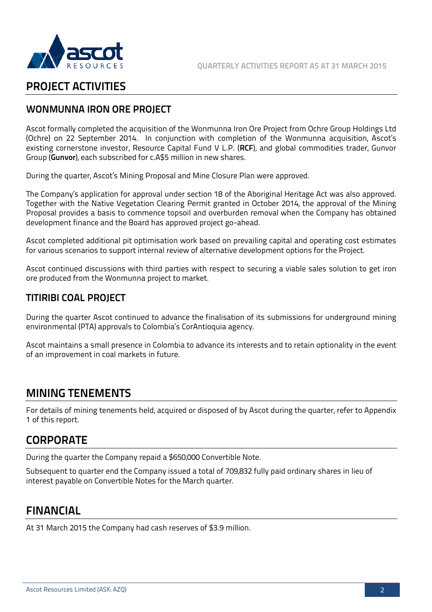



# **PROJECT ACTIVITIES**

## **WONMUNNA IRON ORE PROJECT**

Ascot formally completed the acquisition of the Wonmunna Iron Ore Project from Ochre Group Holdings Ltd (Ochre) on 22 September 2014. In conjunction with completion of the Wonmunna acquisition, Ascot's existing cornerstone investor, Resource Capital Fund V L.P. (**RCF**), and global commodities trader, Gunvor Group (**Gunvor**), each subscribed for c.A\$5 million in new shares.

During the quarter, Ascot's Mining Proposal and Mine Closure Plan were approved.

The Company's application for approval under section 18 of the Aboriginal Heritage Act was also approved. Together with the Native Vegetation Clearing Permit granted in October 2014, the approval of the Mining Proposal provides a basis to commence topsoil and overburden removal when the Company has obtained development finance and the Board has approved project go-ahead.

Ascot completed additional pit optimisation work based on prevailing capital and operating cost estimates for various scenarios to support internal review of alternative development options for the Project.

Ascot continued discussions with third parties with respect to securing a viable sales solution to get iron ore produced from the Wonmunna project to market.

## **TITIRIBI COAL PROJECT**

During the quarter Ascot continued to advance the finalisation of its submissions for underground mining environmental (PTA) approvals to Colombia's CorAntioquia agency.

Ascot maintains a small presence in Colombia to advance its interests and to retain optionality in the event of an improvement in coal markets in future.

## **MINING TENEMENTS**

For details of mining tenements held, acquired or disposed of by Ascot during the quarter, refer to Appendix 1 of this report.

# **CORPORATE**

During the quarter the Company repaid a \$650,000 Convertible Note.

Subsequent to quarter end the Company issued a total of 709,832 fully paid ordinary shares in lieu of interest payable on Convertible Notes for the March quarter.

## **FINANCIAL**

At 31 March 2015 the Company had cash reserves of \$3.9 million.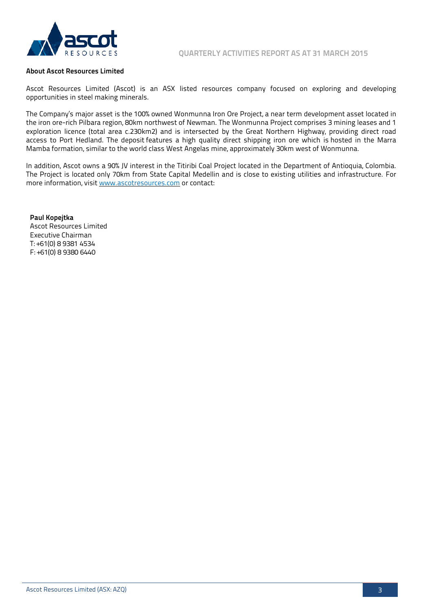

#### **About Ascot Resources Limited**

Ascot Resources Limited (Ascot) is an ASX listed resources company focused on exploring and developing opportunities in steel making minerals.

The Company's major asset is the 100% owned Wonmunna Iron Ore Project, a near term development asset located in the iron ore-rich Pilbara region, 80km northwest of Newman. The Wonmunna Project comprises 3 mining leases and 1 exploration licence (total area c.230km2) and is intersected by the Great Northern Highway, providing direct road access to Port Hedland. The deposit features a high quality direct shipping iron ore which is hosted in the Marra Mamba formation, similar to the world class West Angelas mine, approximately 30km west of Wonmunna.

In addition, Ascot owns a 90% JV interest in the Titiribi Coal Project located in the Department of Antioquia, Colombia. The Project is located only 70km from State Capital Medellin and is close to existing utilities and infrastructure. For more information, visi[t www.ascotresources.com](http://www.ascotresources.com/) or contact:

**Paul Kopejtka** Ascot Resources Limited Executive Chairman T: +61(0) 8 9381 4534 F: +61(0) 8 9380 6440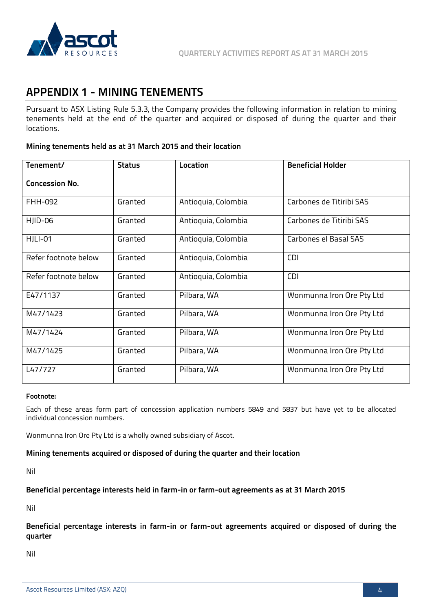

# **APPENDIX 1 - MINING TENEMENTS**

Pursuant to ASX Listing Rule 5.3.3, the Company provides the following information in relation to mining tenements held at the end of the quarter and acquired or disposed of during the quarter and their locations.

#### **Mining tenements held as at 31 March 2015 and their location**

| Tenement/             | <b>Status</b> | Location            | <b>Beneficial Holder</b>  |  |
|-----------------------|---------------|---------------------|---------------------------|--|
| <b>Concession No.</b> |               |                     |                           |  |
| FHH-092               | Granted       | Antioquia, Colombia | Carbones de Titiribi SAS  |  |
| HJID-06               | Granted       | Antioquia, Colombia | Carbones de Titiribi SAS  |  |
| HJLI-01               | Granted       | Antioquia, Colombia | Carbones el Basal SAS     |  |
| Refer footnote below  | Granted       | Antioquia, Colombia | <b>CDI</b>                |  |
| Refer footnote below  | Granted       | Antioquia, Colombia | <b>CDI</b>                |  |
| E47/1137              | Granted       | Pilbara, WA         | Wonmunna Iron Ore Pty Ltd |  |
| M47/1423              | Granted       | Pilbara, WA         | Wonmunna Iron Ore Pty Ltd |  |
| M47/1424              | Granted       | Pilbara, WA         | Wonmunna Iron Ore Pty Ltd |  |
| M47/1425              | Granted       | Pilbara, WA         | Wonmunna Iron Ore Pty Ltd |  |
| L47/727               | Granted       | Pilbara, WA         | Wonmunna Iron Ore Pty Ltd |  |

#### **Footnote:**

Each of these areas form part of concession application numbers 5849 and 5837 but have yet to be allocated individual concession numbers.

Wonmunna Iron Ore Pty Ltd is a wholly owned subsidiary of Ascot.

#### **Mining tenements acquired or disposed of during the quarter and their location**

Nil

#### **Beneficial percentage interests held in farm-in or farm-out agreements as at 31 March 2015**

Nil

**Beneficial percentage interests in farm-in or farm-out agreements acquired or disposed of during the quarter** 

Nil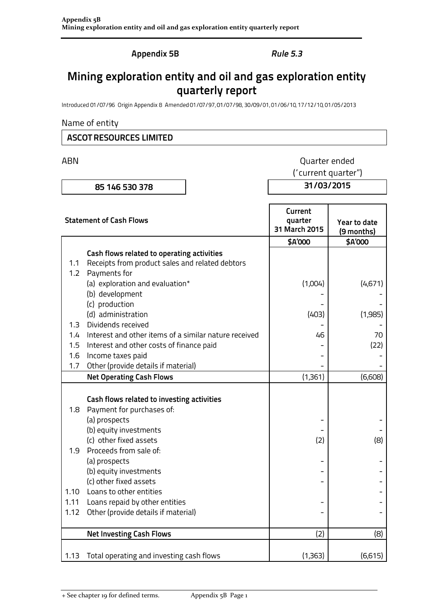**Appendix 5B** 

## **Rule 5.3**

# Mining exploration entity and oil and gas exploration entity quarterly report

Introduced 01/07/96 Origin Appendix 8 Amended 01/07/97, 01/07/98, 30/09/01, 01/06/10, 17/12/10, 01/05/2013

#### Name of entity

## **ASCOT RESOURCES LIMITED**

ABN

# Quarter ended

85 146 530 378

('current quarter")

31/03/2015

| <b>Statement of Cash Flows</b> |                                                       | Current<br>quarter<br>31 March 2015 | Year to date<br>(9 months) |  |
|--------------------------------|-------------------------------------------------------|-------------------------------------|----------------------------|--|
|                                |                                                       | \$A'000                             | \$A'000                    |  |
|                                | Cash flows related to operating activities            |                                     |                            |  |
| 1.1                            | Receipts from product sales and related debtors       |                                     |                            |  |
| 1.2                            | Payments for                                          |                                     |                            |  |
|                                | (a) exploration and evaluation*                       | (1,004)                             | (4,671)                    |  |
|                                | (b) development                                       |                                     |                            |  |
|                                | (c) production                                        |                                     |                            |  |
|                                | (d) administration                                    | (403)                               | (1,985)                    |  |
| 1.3                            | Dividends received                                    |                                     |                            |  |
| 1.4                            | Interest and other items of a similar nature received | 46                                  | 70                         |  |
| 1.5                            | Interest and other costs of finance paid              |                                     | (22)                       |  |
| 1.6                            | Income taxes paid                                     |                                     |                            |  |
| 1.7                            | Other (provide details if material)                   |                                     |                            |  |
|                                | <b>Net Operating Cash Flows</b>                       | (1,361)                             | (6,608)                    |  |
|                                |                                                       |                                     |                            |  |
|                                | Cash flows related to investing activities            |                                     |                            |  |
| 1.8                            | Payment for purchases of:                             |                                     |                            |  |
|                                | (a) prospects                                         |                                     |                            |  |
|                                | (b) equity investments                                |                                     |                            |  |
|                                | (c) other fixed assets                                | (2)                                 | (8)                        |  |
| 1.9                            | Proceeds from sale of:                                |                                     |                            |  |
|                                | (a) prospects                                         |                                     |                            |  |
|                                | (b) equity investments                                |                                     |                            |  |
|                                | (c) other fixed assets                                |                                     |                            |  |
| 1.10                           | Loans to other entities                               |                                     |                            |  |
| 1.11                           | Loans repaid by other entities                        |                                     |                            |  |
| 1.12                           | Other (provide details if material)                   |                                     |                            |  |
|                                | <b>Net Investing Cash Flows</b>                       | (2)                                 | (8)                        |  |
| 1.13                           | Total operating and investing cash flows              | (1,363)                             | (6,615)                    |  |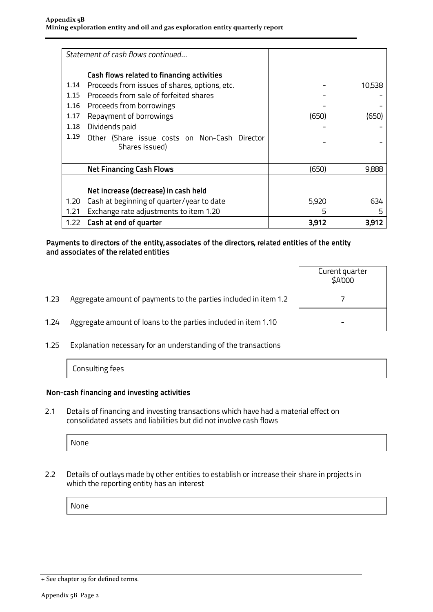|      | Statement of cash flows continued                               |       |        |
|------|-----------------------------------------------------------------|-------|--------|
|      | Cash flows related to financing activities                      |       |        |
| 1.14 | Proceeds from issues of shares, options, etc.                   |       | 10,538 |
| 1.15 | Proceeds from sale of forfeited shares                          |       |        |
| 1.16 | Proceeds from borrowings                                        |       |        |
| 1.17 | Repayment of borrowings                                         | (650) | (650)  |
| 1.18 | Dividends paid                                                  |       |        |
| 1.19 | Other (Share issue costs on Non-Cash Director<br>Shares issued) |       |        |
|      |                                                                 |       |        |
|      | <b>Net Financing Cash Flows</b>                                 | (650) | 9,888  |
|      |                                                                 |       |        |
|      | Net increase (decrease) in cash held                            |       |        |
| 1.20 | Cash at beginning of quarter/year to date                       | 5,920 | 634    |
| 1.21 | Exchange rate adjustments to item 1.20                          | 5     | 5      |
| 1.22 | Cash at end of quarter                                          | 3,912 | 3,912  |

#### Payments to directors of the entity, associates of the directors, related entities of the entity and associates of the related entities

|      |                                                                  | Curent quarter<br>\$A'000 |
|------|------------------------------------------------------------------|---------------------------|
| 1.23 | Aggregate amount of payments to the parties included in item 1.2 |                           |
| 1.24 | Aggregate amount of loans to the parties included in item 1.10   |                           |
|      |                                                                  |                           |

 $1.25$ Explanation necessary for an understanding of the transactions

Consulting fees

### Non-cash financing and investing activities

Details of financing and investing transactions which have had a material effect on  $2.1$ consolidated assets and liabilities but did not involve cash flows

None

 $2.2$ Details of outlays made by other entities to establish or increase their share in projects in which the reporting entity has an interest

None

<sup>+</sup> See chapter 19 for defined terms.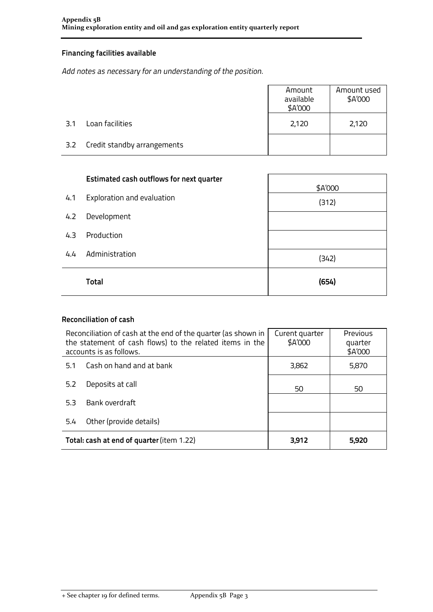## **Financing facilities available**

Add notes as necessary for an understanding of the position.

|     |                             | Amount<br>available<br>\$A'000 | Amount used<br>\$A'000 |
|-----|-----------------------------|--------------------------------|------------------------|
| 3.1 | Loan facilities             | 2,120                          | 2,120                  |
| 3.2 | Credit standby arrangements |                                |                        |

|     | <b>Estimated cash outflows for next quarter</b> | \$A'000 |
|-----|-------------------------------------------------|---------|
| 4.1 | Exploration and evaluation                      | (312)   |
| 4.2 | Development                                     |         |
| 4.3 | Production                                      |         |
| 4.4 | Administration                                  | (342)   |
|     | <b>Total</b>                                    | (654)   |

#### **Reconciliation of cash**

| Reconciliation of cash at the end of the quarter (as shown in<br>the statement of cash flows) to the related items in the<br>accounts is as follows. |  | Curent quarter<br>\$A'000 | Previous<br>quarter<br>\$A'000 |
|------------------------------------------------------------------------------------------------------------------------------------------------------|--|---------------------------|--------------------------------|
| Cash on hand and at bank<br>5.1                                                                                                                      |  | 3,862                     | 5,870                          |
| Deposits at call<br>5.2                                                                                                                              |  | 50                        | 50                             |
| Bank overdraft<br>5.3                                                                                                                                |  |                           |                                |
| Other (provide details)<br>5.4                                                                                                                       |  |                           |                                |
| Total: cash at end of quarter (item 1.22)                                                                                                            |  | 3,912                     | 5,920                          |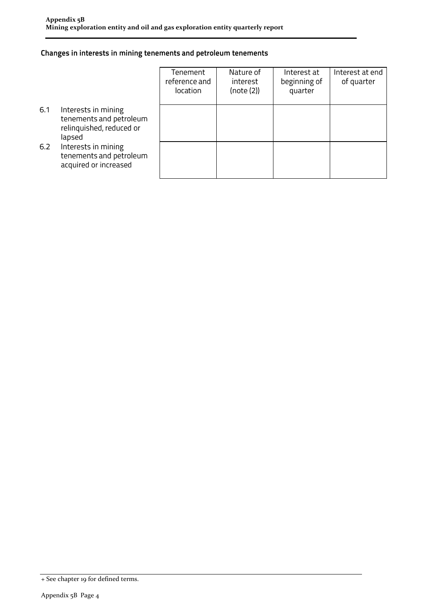### Changes in interests in mining tenements and petroleum tenements

|     |                                                                                      | Tenement<br>reference and<br>location | Nature of<br>interest<br>(note (2)) | Interest at<br>beginning of<br>quarter | Interest at end<br>of quarter |
|-----|--------------------------------------------------------------------------------------|---------------------------------------|-------------------------------------|----------------------------------------|-------------------------------|
| 6.1 | Interests in mining<br>tenements and petroleum<br>relinquished, reduced or<br>lapsed |                                       |                                     |                                        |                               |
| 6.2 | Interests in mining<br>tenements and petroleum<br>acquired or increased              |                                       |                                     |                                        |                               |

<sup>+</sup> See chapter 19 for defined terms.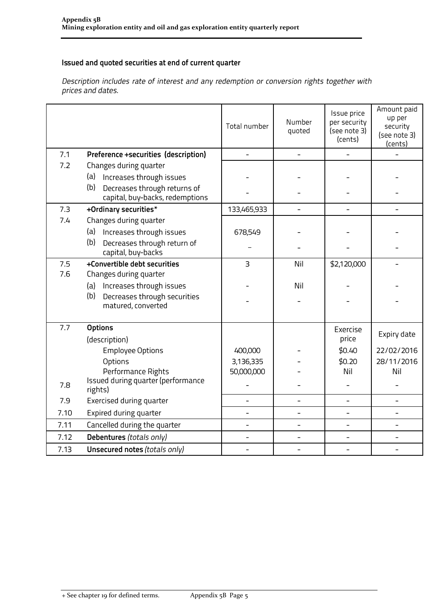## Issued and quoted securities at end of current quarter

Description includes rate of interest and any redemption or conversion rights together with prices and dates.

|      |                                                                        | Total number   | Number<br>quoted         | Issue price<br>per security<br>(see note 3)<br>(cents) | Amount paid<br>up per<br>security<br>(see note 3)<br>(cents) |
|------|------------------------------------------------------------------------|----------------|--------------------------|--------------------------------------------------------|--------------------------------------------------------------|
| 7.1  | Preference +securities (description)                                   |                |                          |                                                        |                                                              |
| 7.2  | Changes during quarter                                                 |                |                          |                                                        |                                                              |
|      | (a)<br>Increases through issues                                        |                |                          |                                                        |                                                              |
|      | (b)<br>Decreases through returns of<br>capital, buy-backs, redemptions |                |                          |                                                        |                                                              |
| 7.3  | +Ordinary securities*                                                  | 133,465,933    | $\overline{\phantom{0}}$ |                                                        |                                                              |
| 7.4  | Changes during quarter                                                 |                |                          |                                                        |                                                              |
|      | Increases through issues<br>(a)                                        | 678,549        |                          |                                                        |                                                              |
|      | (b)<br>Decreases through return of<br>capital, buy-backs               |                |                          |                                                        |                                                              |
| 7.5  | +Convertible debt securities                                           | $\overline{3}$ | Nil                      | \$2,120,000                                            |                                                              |
| 7.6  | Changes during quarter                                                 |                |                          |                                                        |                                                              |
|      | Increases through issues<br>(a)                                        |                | Nil                      |                                                        |                                                              |
|      | (b)<br>Decreases through securities<br>matured, converted              |                |                          |                                                        |                                                              |
| 7.7  | <b>Options</b>                                                         |                |                          | Exercise                                               |                                                              |
|      | (description)                                                          |                |                          | price                                                  | Expiry date                                                  |
|      | <b>Employee Options</b>                                                | 400,000        |                          | \$0.40                                                 | 22/02/2016                                                   |
|      | Options                                                                | 3,136,335      |                          | \$0.20                                                 | 28/11/2016                                                   |
|      | Performance Rights                                                     | 50,000,000     |                          | Nil                                                    | Nil                                                          |
| 7.8  | Issued during quarter (performance<br>rights)                          |                |                          |                                                        |                                                              |
| 7.9  | Exercised during quarter                                               | $\overline{a}$ |                          |                                                        |                                                              |
| 7.10 | Expired during quarter                                                 |                |                          |                                                        |                                                              |
| 7.11 | Cancelled during the quarter                                           | $\overline{a}$ | ÷,                       | ÷,                                                     | $\overline{a}$                                               |
| 7.12 | Debentures (totals only)                                               |                |                          |                                                        |                                                              |
| 7.13 | Unsecured notes (totals only)                                          |                |                          |                                                        |                                                              |